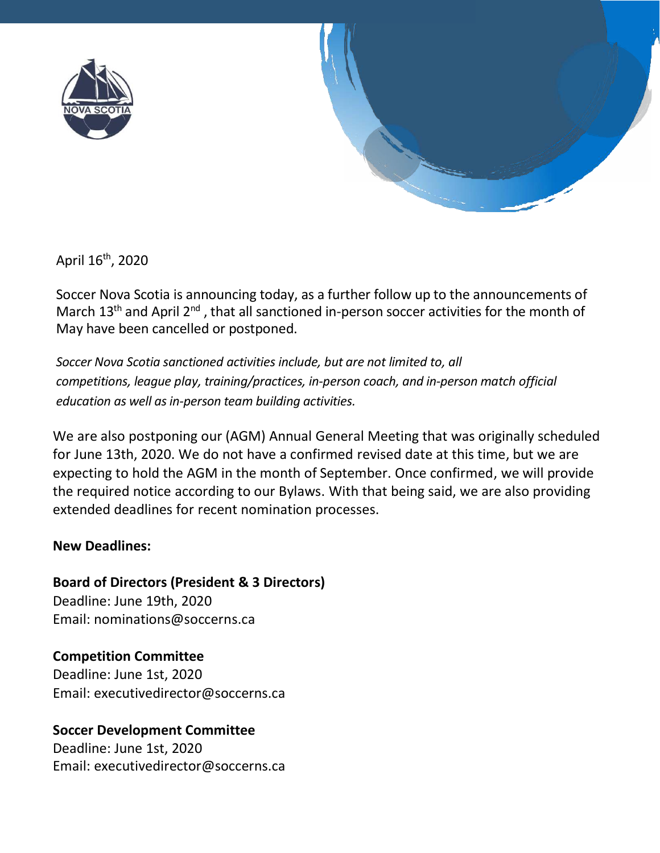

April 16th, 2020

Soccer Nova Scotia is announcing today, as a further follow up to the announcements of March  $13<sup>th</sup>$  and April  $2<sup>nd</sup>$ , that all sanctioned in-person soccer activities for the month of May have been cancelled or postponed.

*Soccer Nova Scotia sanctioned activities include, but are not limited to, all competitions, league play, training/practices, in-person coach, and in-person match official education as well as in-person team building activities.*

We are also postponing our (AGM) Annual General Meeting that was originally scheduled for June 13th, 2020. We do not have a confirmed revised date at this time, but we are expecting to hold the AGM in the month of September. Once confirmed, we will provide the required notice according to our Bylaws. With that being said, we are also providing extended deadlines for recent nomination processes.

## **New Deadlines:**

**Board of Directors (President & 3 Directors)**

Deadline: June 19th, 2020 Email: nominations@soccerns.ca

**Competition Committee** Deadline: June 1st, 2020 Email: executivedirector@soccerns.ca

## **Soccer Development Committee**

Deadline: June 1st, 2020 Email: executivedirector@soccerns.ca